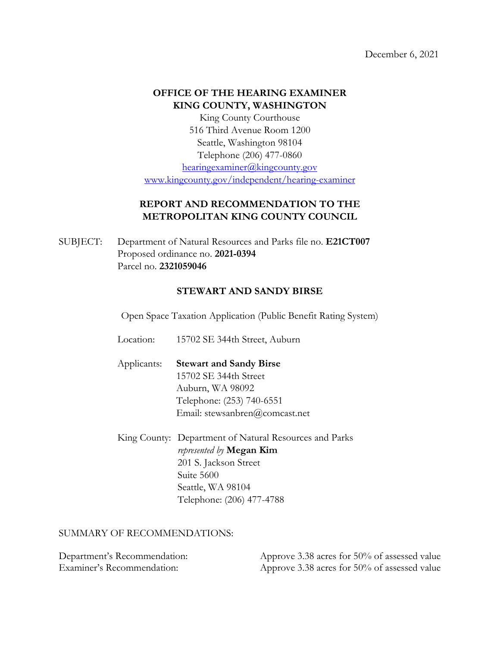December 6, 2021

## **OFFICE OF THE HEARING EXAMINER KING COUNTY, WASHINGTON**

King County Courthouse 516 Third Avenue Room 1200 Seattle, Washington 98104 Telephone (206) 477-0860 [hearingexaminer@kingcounty.gov](mailto:hearingexaminer@kingcounty.gov)

[www.kingcounty.gov/independent/hearing-examiner](http://www.kingcounty.gov/independent/hearing-examiner)

# **REPORT AND RECOMMENDATION TO THE METROPOLITAN KING COUNTY COUNCIL**

SUBJECT: Department of Natural Resources and Parks file no. **E21CT007** Proposed ordinance no. **2021-0394** Parcel no. **2321059046**

## **STEWART AND SANDY BIRSE**

Open Space Taxation Application (Public Benefit Rating System)

Location: 15702 SE 344th Street, Auburn

Applicants: **Stewart and Sandy Birse** 15702 SE 344th Street Auburn, WA 98092 Telephone: (253) 740-6551 Email: stewsanbren@comcast.net

King County: Department of Natural Resources and Parks *represented by* **Megan Kim** 201 S. Jackson Street Suite 5600 Seattle, WA 98104 Telephone: (206) 477-4788

### SUMMARY OF RECOMMENDATIONS:

| Department's Recommendation: | Approve 3.38 acres for 50% of assessed value |
|------------------------------|----------------------------------------------|
| Examiner's Recommendation:   | Approve 3.38 acres for 50% of assessed value |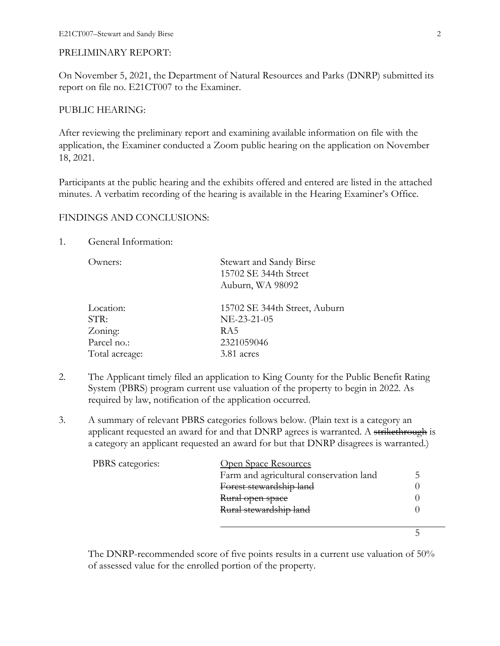### PRELIMINARY REPORT:

On November 5, 2021, the Department of Natural Resources and Parks (DNRP) submitted its report on file no. E21CT007 to the Examiner.

#### PUBLIC HEARING:

After reviewing the preliminary report and examining available information on file with the application, the Examiner conducted a Zoom public hearing on the application on November 18, 2021.

Participants at the public hearing and the exhibits offered and entered are listed in the attached minutes. A verbatim recording of the hearing is available in the Hearing Examiner's Office.

#### FINDINGS AND CONCLUSIONS:

#### 1. General Information:

| Owners:        | Stewart and Sandy Birse<br>15702 SE 344th Street<br>Auburn, WA 98092 |
|----------------|----------------------------------------------------------------------|
| Location:      | 15702 SE 344th Street, Auburn                                        |
| STR:           | NE-23-21-05                                                          |
| Zoning:        | RA5                                                                  |
| Parcel no.:    | 2321059046                                                           |
| Total acreage: | 3.81 acres                                                           |
|                |                                                                      |

- 2. The Applicant timely filed an application to King County for the Public Benefit Rating System (PBRS) program current use valuation of the property to begin in 2022. As required by law, notification of the application occurred.
- 3. A summary of relevant PBRS categories follows below. (Plain text is a category an applicant requested an award for and that DNRP agrees is warranted. A strikethrough is a category an applicant requested an award for but that DNRP disagrees is warranted.)

| PBRS categories: | Open Space Resources                    |  |
|------------------|-----------------------------------------|--|
|                  | Farm and agricultural conservation land |  |
|                  | Forest stewardship land                 |  |
|                  | Rural open space                        |  |
|                  | Rural stewardship land                  |  |
|                  |                                         |  |
|                  |                                         |  |

The DNRP-recommended score of five points results in a current use valuation of 50% of assessed value for the enrolled portion of the property.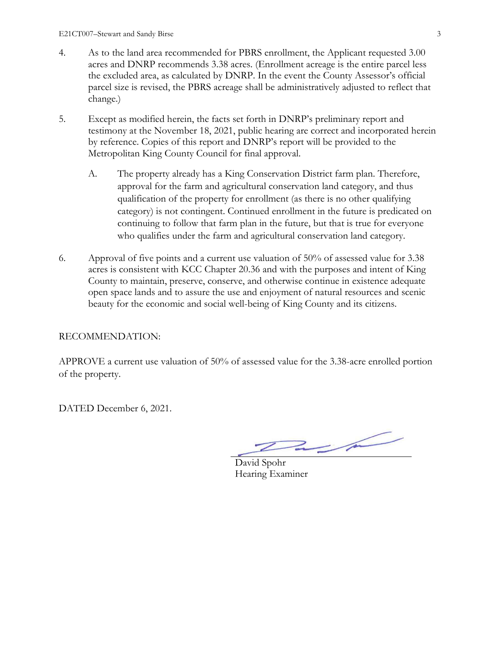- 4. As to the land area recommended for PBRS enrollment, the Applicant requested 3.00 acres and DNRP recommends 3.38 acres. (Enrollment acreage is the entire parcel less the excluded area, as calculated by DNRP. In the event the County Assessor's official parcel size is revised, the PBRS acreage shall be administratively adjusted to reflect that change.)
- 5. Except as modified herein, the facts set forth in DNRP's preliminary report and testimony at the November 18, 2021, public hearing are correct and incorporated herein by reference. Copies of this report and DNRP's report will be provided to the Metropolitan King County Council for final approval.
	- A. The property already has a King Conservation District farm plan. Therefore, approval for the farm and agricultural conservation land category, and thus qualification of the property for enrollment (as there is no other qualifying category) is not contingent. Continued enrollment in the future is predicated on continuing to follow that farm plan in the future, but that is true for everyone who qualifies under the farm and agricultural conservation land category.
- 6. Approval of five points and a current use valuation of 50% of assessed value for 3.38 acres is consistent with KCC Chapter 20.36 and with the purposes and intent of King County to maintain, preserve, conserve, and otherwise continue in existence adequate open space lands and to assure the use and enjoyment of natural resources and scenic beauty for the economic and social well-being of King County and its citizens.

## RECOMMENDATION:

APPROVE a current use valuation of 50% of assessed value for the 3.38-acre enrolled portion of the property.

DATED December 6, 2021.

 $2/2$ 

David Spohr Hearing Examiner